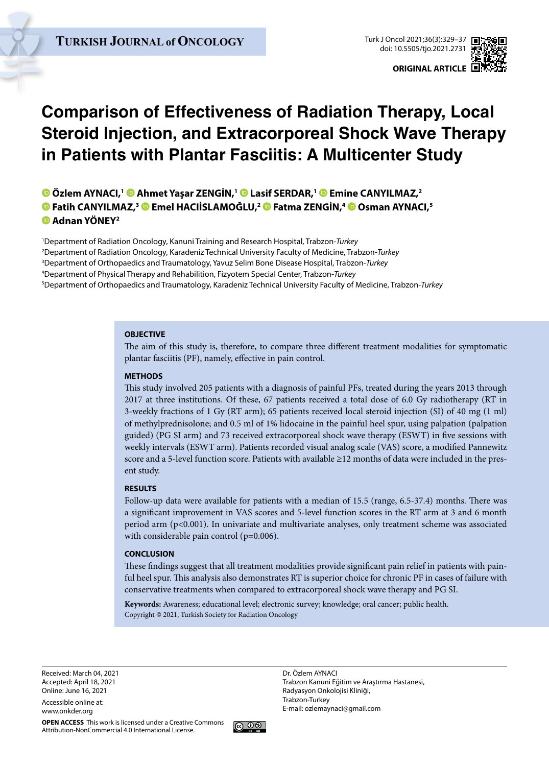

# **Comparison of Effectiveness of Radiation Therapy, Local Steroid Injection, and Extracorporeal Shock Wave Therapy in Patients with Plantar Fasciitis: A Multicenter Study**

**Özlem AYNACI,1Ahmet Yaşar ZENGİN,1Lasif SERDAR,1Emine CANYILMAZ,2 Fatih CANYILMAZ,3Emel HACIİSLAMOĞLU,[2 F](https://orcid.org/0000-0002-0488-8508)atma ZENGİN,4Osman AYNACI,5 Adnan YÖNEY2**

 Department of Radiation Oncology, Kanuni Training and Research Hospital, Trabzon-*Turkey* Department of Radiation Oncology, Karadeniz Technical University Faculty of Medicine, Trabzon-*Turkey* Department of Orthopaedics and Traumatology, Yavuz Selim Bone Disease Hospital, Trabzon-*Turkey* Department of Physical Therapy and Rehabilition, Fizyotem Special Center, Trabzon-*Turkey* Department of Orthopaedics and Traumatology, Karadeniz Technical University Faculty of Medicine, Trabzon-*Turkey*

#### **OBJECTIVE**

The aim of this study is, therefore, to compare three different treatment modalities for symptomatic plantar fasciitis (PF), namely, effective in pain control.

#### **METHODS**

This study involved 205 patients with a diagnosis of painful PFs, treated during the years 2013 through 2017 at three institutions. Of these, 67 patients received a total dose of 6.0 Gy radiotherapy (RT in 3-weekly fractions of 1 Gy (RT arm); 65 patients received local steroid injection (SI) of 40 mg (1 ml) of methylprednisolone; and 0.5 ml of 1% lidocaine in the painful heel spur, using palpation (palpation guided) (PG SI arm) and 73 received extracorporeal shock wave therapy (ESWT) in five sessions with weekly intervals (ESWT arm). Patients recorded visual analog scale (VAS) score, a modified Pannewitz score and a 5-level function score. Patients with available ≥12 months of data were included in the present study.

#### **RESULTS**

Follow-up data were available for patients with a median of 15.5 (range, 6.5-37.4) months. There was a significant improvement in VAS scores and 5-level function scores in the RT arm at 3 and 6 month period arm (p<0.001). In univariate and multivariate analyses, only treatment scheme was associated with considerable pain control (p=0.006).

#### **CONCLUSION**

These findings suggest that all treatment modalities provide significant pain relief in patients with painful heel spur. This analysis also demonstrates RT is superior choice for chronic PF in cases of failure with conservative treatments when compared to extracorporeal shock wave therapy and PG SI.

**Keywords:** Awareness; educational level; electronic survey; knowledge; oral cancer; public health. Copyright © 2021, Turkish Society for Radiation Oncology

Received: March 04, 2021 Accepted: April 18, 2021 Online: June 16, 2021

Accessible online at: www.onkder.org



Dr. Özlem AYNACI Trabzon Kanuni Eğitim ve Araştırma Hastanesi, Radyasyon Onkolojisi Kliniği, Trabzon-Turkey E-mail: ozlemaynaci@gmail.com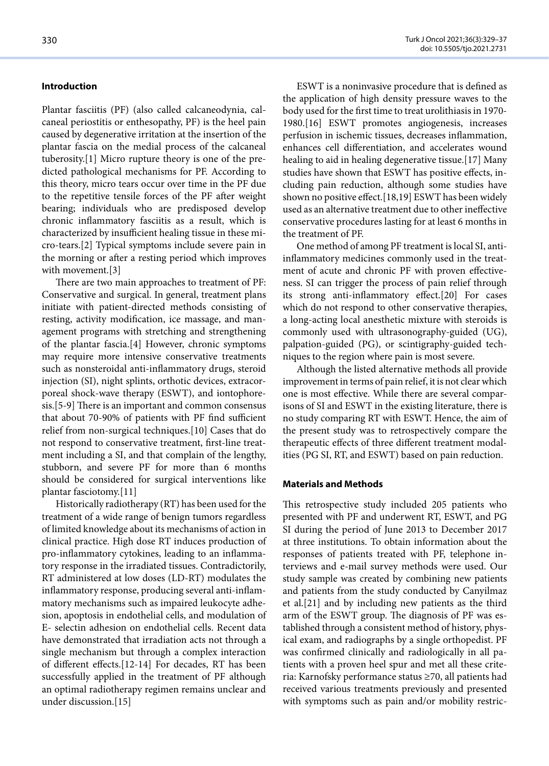#### **Introduction**

Plantar fasciitis (PF) (also called calcaneodynia, calcaneal periostitis or enthesopathy, PF) is the heel pain caused by degenerative irritation at the insertion of the plantar fascia on the medial process of the calcaneal tuberosity.[1] Micro rupture theory is one of the predicted pathological mechanisms for PF. According to this theory, micro tears occur over time in the PF due to the repetitive tensile forces of the PF after weight bearing; individuals who are predisposed develop chronic inflammatory fasciitis as a result, which is characterized by insufficient healing tissue in these micro-tears.[2] Typical symptoms include severe pain in the morning or after a resting period which improves with movement.[3]

There are two main approaches to treatment of PF: Conservative and surgical. In general, treatment plans initiate with patient-directed methods consisting of resting, activity modification, ice massage, and management programs with stretching and strengthening of the plantar fascia.[4] However, chronic symptoms may require more intensive conservative treatments such as nonsteroidal anti-inflammatory drugs, steroid injection (SI), night splints, orthotic devices, extracorporeal shock-wave therapy (ESWT), and iontophoresis.[5-9] There is an important and common consensus that about 70-90% of patients with PF find sufficient relief from non-surgical techniques.[10] Cases that do not respond to conservative treatment, first-line treatment including a SI, and that complain of the lengthy, stubborn, and severe PF for more than 6 months should be considered for surgical interventions like plantar fasciotomy.[11]

Historically radiotherapy (RT) has been used for the treatment of a wide range of benign tumors regardless of limited knowledge about its mechanisms of action in clinical practice. High dose RT induces production of pro-inflammatory cytokines, leading to an inflammatory response in the irradiated tissues. Contradictorily, RT administered at low doses (LD-RT) modulates the inflammatory response, producing several anti-inflammatory mechanisms such as impaired leukocyte adhesion, apoptosis in endothelial cells, and modulation of E- selectin adhesion on endothelial cells. Recent data have demonstrated that irradiation acts not through a single mechanism but through a complex interaction of different effects.[12-14] For decades, RT has been successfully applied in the treatment of PF although an optimal radiotherapy regimen remains unclear and under discussion.[15]

ESWT is a noninvasive procedure that is defined as the application of high density pressure waves to the body used for the first time to treat urolithiasis in 1970- 1980.[16] ESWT promotes angiogenesis, increases perfusion in ischemic tissues, decreases inflammation, enhances cell differentiation, and accelerates wound healing to aid in healing degenerative tissue.[17] Many studies have shown that ESWT has positive effects, including pain reduction, although some studies have shown no positive effect.[18,19] ESWT has been widely used as an alternative treatment due to other ineffective conservative procedures lasting for at least 6 months in the treatment of PF.

One method of among PF treatment is local SI, antiinflammatory medicines commonly used in the treatment of acute and chronic PF with proven effectiveness. SI can trigger the process of pain relief through its strong anti-inflammatory effect.[20] For cases which do not respond to other conservative therapies, a long-acting local anesthetic mixture with steroids is commonly used with ultrasonography-guided (UG), palpation-guided (PG), or scintigraphy-guided techniques to the region where pain is most severe.

Although the listed alternative methods all provide improvement in terms of pain relief, it is not clear which one is most effective. While there are several comparisons of SI and ESWT in the existing literature, there is no study comparing RT with ESWT. Hence, the aim of the present study was to retrospectively compare the therapeutic effects of three different treatment modalities (PG SI, RT, and ESWT) based on pain reduction.

## **Materials and Methods**

This retrospective study included 205 patients who presented with PF and underwent RT, ESWT, and PG SI during the period of June 2013 to December 2017 at three institutions. To obtain information about the responses of patients treated with PF, telephone interviews and e-mail survey methods were used. Our study sample was created by combining new patients and patients from the study conducted by Canyilmaz et al.[21] and by including new patients as the third arm of the ESWT group. The diagnosis of PF was established through a consistent method of history, physical exam, and radiographs by a single orthopedist. PF was confirmed clinically and radiologically in all patients with a proven heel spur and met all these criteria: Karnofsky performance status ≥70, all patients had received various treatments previously and presented with symptoms such as pain and/or mobility restric-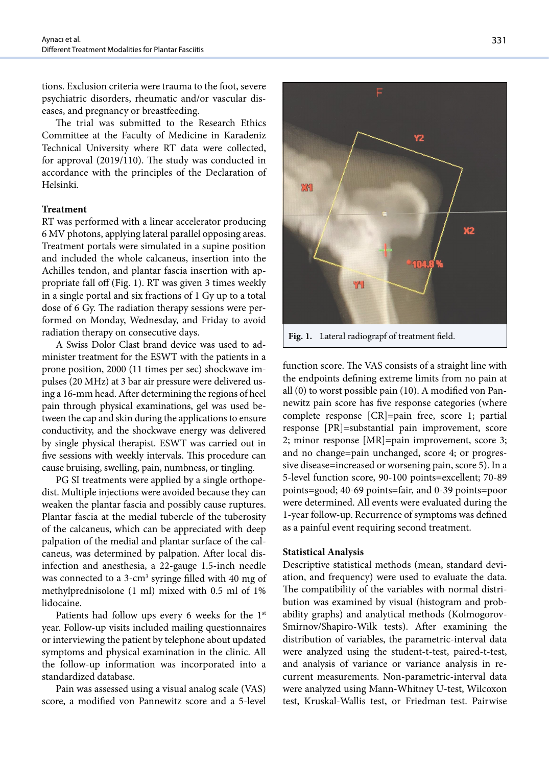tions. Exclusion criteria were trauma to the foot, severe psychiatric disorders, rheumatic and/or vascular diseases, and pregnancy or breastfeeding.

The trial was submitted to the Research Ethics Committee at the Faculty of Medicine in Karadeniz Technical University where RT data were collected, for approval (2019/110). The study was conducted in accordance with the principles of the Declaration of Helsinki.

#### **Treatment**

RT was performed with a linear accelerator producing 6 MV photons, applying lateral parallel opposing areas. Treatment portals were simulated in a supine position and included the whole calcaneus, insertion into the Achilles tendon, and plantar fascia insertion with appropriate fall off (Fig. 1). RT was given 3 times weekly in a single portal and six fractions of 1 Gy up to a total dose of 6 Gy. The radiation therapy sessions were performed on Monday, Wednesday, and Friday to avoid radiation therapy on consecutive days.

A Swiss Dolor Clast brand device was used to administer treatment for the ESWT with the patients in a prone position, 2000 (11 times per sec) shockwave impulses (20 MHz) at 3 bar air pressure were delivered using a 16-mm head. After determining the regions of heel pain through physical examinations, gel was used between the cap and skin during the applications to ensure conductivity, and the shockwave energy was delivered by single physical therapist. ESWT was carried out in five sessions with weekly intervals. This procedure can cause bruising, swelling, pain, numbness, or tingling.

PG SI treatments were applied by a single orthopedist. Multiple injections were avoided because they can weaken the plantar fascia and possibly cause ruptures. Plantar fascia at the medial tubercle of the tuberosity of the calcaneus, which can be appreciated with deep palpation of the medial and plantar surface of the calcaneus, was determined by palpation. After local disinfection and anesthesia, a 22-gauge 1.5-inch needle was connected to a 3-cm<sup>3</sup> syringe filled with 40 mg of methylprednisolone (1 ml) mixed with 0.5 ml of 1% lidocaine.

Patients had follow ups every 6 weeks for the  $1<sup>st</sup>$ year. Follow-up visits included mailing questionnaires or interviewing the patient by telephone about updated symptoms and physical examination in the clinic. All the follow-up information was incorporated into a standardized database.

Pain was assessed using a visual analog scale (VAS) score, a modified von Pannewitz score and a 5-level

F.K X2 S 6 **Fig. 1.** Lateral radiograpf of treatment field.function score. The VAS consists of a straight line with

Ē

Y2

the endpoints defining extreme limits from no pain at all (0) to worst possible pain (10). A modified von Pannewitz pain score has five response categories (where complete response [CR]=pain free, score 1; partial response [PR]=substantial pain improvement, score 2; minor response [MR]=pain improvement, score 3; and no change=pain unchanged, score 4; or progressive disease=increased or worsening pain, score 5). In a 5-level function score, 90-100 points=excellent; 70-89 points=good; 40-69 points=fair, and 0-39 points=poor were determined. All events were evaluated during the 1-year follow-up. Recurrence of symptoms was defined as a painful event requiring second treatment.

#### **Statistical Analysis**

Descriptive statistical methods (mean, standard deviation, and frequency) were used to evaluate the data. The compatibility of the variables with normal distribution was examined by visual (histogram and probability graphs) and analytical methods (Kolmogorov-Smirnov/Shapiro-Wilk tests). After examining the distribution of variables, the parametric-interval data were analyzed using the student-t-test, paired-t-test, and analysis of variance or variance analysis in recurrent measurements. Non-parametric-interval data were analyzed using Mann-Whitney U-test, Wilcoxon test, Kruskal-Wallis test, or Friedman test. Pairwise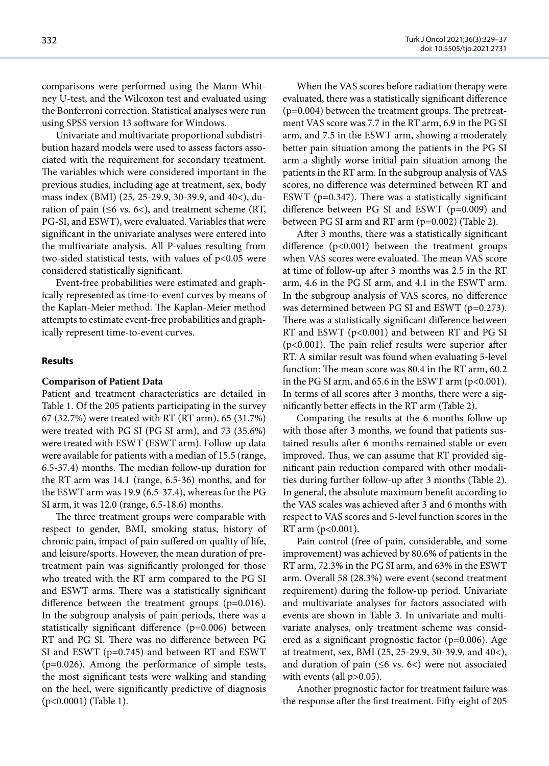comparisons were performed using the Mann-Whitney U-test, and the Wilcoxon test and evaluated using the Bonferroni correction. Statistical analyses were run using SPSS version 13 software for Windows.

Univariate and multivariate proportional subdistribution hazard models were used to assess factors associated with the requirement for secondary treatment. The variables which were considered important in the previous studies, including age at treatment, sex, body mass index (BMI) (25, 25-29.9, 30-39.9, and 40<), duration of pain ( $\leq 6$  vs. 6<), and treatment scheme (RT, PG-SI, and ESWT), were evaluated. Variables that were significant in the univariate analyses were entered into the multivariate analysis. All P-values resulting from two-sided statistical tests, with values of  $p<0.05$  were considered statistically significant.

Event-free probabilities were estimated and graphically represented as time-to-event curves by means of the Kaplan-Meier method. The Kaplan-Meier method attempts to estimate event-free probabilities and graphically represent time-to-event curves.

#### **Results**

## **Comparison of Patient Data**

Patient and treatment characteristics are detailed in Table 1. Of the 205 patients participating in the survey 67 (32.7%) were treated with RT (RT arm), 65 (31.7%) were treated with PG SI (PG SI arm), and 73 (35.6%) were treated with ESWT (ESWT arm). Follow-up data were available for patients with a median of 15.5 (range, 6.5-37.4) months. The median follow-up duration for the RT arm was 14.1 (range, 6.5-36) months, and for the ESWT arm was 19.9 (6.5-37.4), whereas for the PG SI arm, it was 12.0 (range, 6.5-18.6) months.

The three treatment groups were comparable with respect to gender, BMI, smoking status, history of chronic pain, impact of pain suffered on quality of life, and leisure/sports. However, the mean duration of pretreatment pain was significantly prolonged for those who treated with the RT arm compared to the PG SI and ESWT arms. There was a statistically significant difference between the treatment groups (p=0.016). In the subgroup analysis of pain periods, there was a statistically significant difference (p=0.006) between RT and PG SI. There was no difference between PG SI and ESWT (p=0.745) and between RT and ESWT (p=0.026). Among the performance of simple tests, the most significant tests were walking and standing on the heel, were significantly predictive of diagnosis (p<0.0001) (Table 1).

When the VAS scores before radiation therapy were evaluated, there was a statistically significant difference (p=0.004) between the treatment groups. The pretreatment VAS score was 7.7 in the RT arm, 6.9 in the PG SI arm, and 7.5 in the ESWT arm, showing a moderately better pain situation among the patients in the PG SI arm a slightly worse initial pain situation among the patients in the RT arm. In the subgroup analysis of VAS scores, no difference was determined between RT and ESWT ( $p=0.347$ ). There was a statistically significant difference between PG SI and ESWT (p=0.009) and between PG SI arm and RT arm (p=0.002) (Table 2).

After 3 months, there was a statistically significant difference (p<0.001) between the treatment groups when VAS scores were evaluated. The mean VAS score at time of follow-up after 3 months was 2.5 in the RT arm, 4.6 in the PG SI arm, and 4.1 in the ESWT arm. In the subgroup analysis of VAS scores, no difference was determined between PG SI and ESWT (p=0.273). There was a statistically significant difference between RT and ESWT (p<0.001) and between RT and PG SI (p<0.001). The pain relief results were superior after RT. A similar result was found when evaluating 5-level function: The mean score was 80.4 in the RT arm, 60.2 in the PG SI arm, and  $65.6$  in the ESWT arm ( $p<0.001$ ). In terms of all scores after 3 months, there were a significantly better effects in the RT arm (Table 2).

Comparing the results at the 6 months follow-up with those after 3 months, we found that patients sustained results after 6 months remained stable or even improved. Thus, we can assume that RT provided significant pain reduction compared with other modalities during further follow-up after 3 months (Table 2). In general, the absolute maximum benefit according to the VAS scales was achieved after 3 and 6 months with respect to VAS scores and 5-level function scores in the RT arm (p<0.001).

Pain control (free of pain, considerable, and some improvement) was achieved by 80.6% of patients in the RT arm, 72.3% in the PG SI arm, and 63% in the ESWT arm. Overall 58 (28.3%) were event (second treatment requirement) during the follow-up period. Univariate and multivariate analyses for factors associated with events are shown in Table 3. In univariate and multivariate analyses, only treatment scheme was considered as a significant prognostic factor (p=0.006). Age at treatment, sex, BMI (25, 25-29.9, 30-39.9, and 40<), and duration of pain (≤6 vs. 6<) were not associated with events (all  $p > 0.05$ ).

Another prognostic factor for treatment failure was the response after the first treatment. Fifty-eight of 205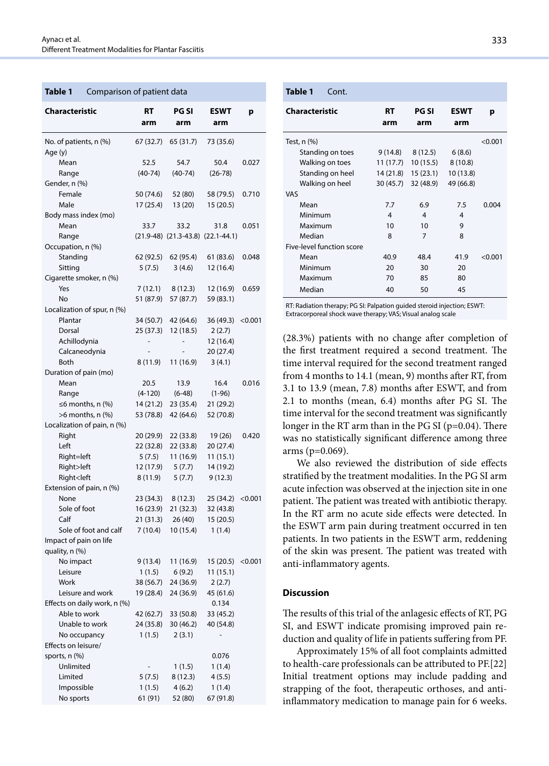#### **Table 1** Comparison of patient data

| Characteristic                                                                      | RT<br>arm | PG SI<br>arm                            | ESWT<br>arm         | р       |
|-------------------------------------------------------------------------------------|-----------|-----------------------------------------|---------------------|---------|
| No. of patients, n (%)<br>Age (y)                                                   | 67 (32.7) | 65 (31.7)                               | 73 (35.6)           |         |
| Mean                                                                                | 52.5      | 54.7                                    | 50.4                | 0.027   |
| Range                                                                               | $(40-74)$ | $(40-74)$                               | $(26-78)$           |         |
| Gender, n (%)                                                                       |           |                                         |                     |         |
| Female                                                                              | 50 (74.6) | 52 (80)                                 | 58 (79.5)           | 0.710   |
| Male                                                                                | 17 (25.4) | 13 (20)                                 | 15 (20.5)           |         |
| Body mass index (mo)                                                                |           |                                         |                     |         |
| Mean                                                                                | 33.7      | 33.2                                    | 31.8                | 0.051   |
| Range                                                                               |           | $(21.9-48)$ $(21.3-43.8)$ $(22.1-44.1)$ |                     |         |
| Occupation, n (%)                                                                   |           |                                         |                     |         |
| Standing                                                                            | 62 (92.5) | 62 (95.4)                               | 61 (83.6)           | 0.048   |
| Sitting                                                                             | 5(7.5)    | 3(4.6)                                  | 12 (16.4)           |         |
| Cigarette smoker, n (%)                                                             |           |                                         |                     |         |
| Yes                                                                                 | 7(12.1)   | 8(12.3)                                 | 12 (16.9)           | 0.659   |
| No                                                                                  | 51 (87.9) | 57 (87.7)                               | 59 (83.1)           |         |
| Localization of spur, n (%)                                                         |           |                                         |                     |         |
| Plantar                                                                             | 34 (50.7) | 42 (64.6)                               | 36 (49.3)           | < 0.001 |
| Dorsal                                                                              | 25 (37.3) | 12(18.5)                                | 2(2.7)<br>12 (16.4) |         |
| Achillodynia                                                                        |           |                                         | 20 (27.4)           |         |
| Calcaneodynia<br><b>Both</b>                                                        | 8(11.9)   | 11 (16.9)                               | 3(4.1)              |         |
| Duration of pain (mo)                                                               |           |                                         |                     |         |
| Mean                                                                                | 20.5      | 13.9                                    | 16.4                | 0.016   |
| Range                                                                               | $(4-120)$ | $(6-48)$                                | $(1-96)$            |         |
| $\leq$ 6 months, n (%)                                                              | 14 (21.2) | 23 (35.4)                               | 21 (29.2)           |         |
| $>6$ months, n $(\%)$                                                               | 53 (78.8) | 42 (64.6)                               | 52 (70.8)           |         |
| Localization of pain, n (%)                                                         |           |                                         |                     |         |
| Right                                                                               | 20 (29.9) | 22 (33.8)                               | 19 (26)             | 0.420   |
| Left                                                                                | 22 (32.8) | 22 (33.8)                               | 20 (27.4)           |         |
| Right=left                                                                          | 5(7.5)    | 11 (16.9)                               | 11(15.1)            |         |
| Right>left                                                                          | 12 (17.9) | 5(7.7)                                  | 14 (19.2)           |         |
| Right <left< td=""><td>8(11.9)</td><td>5(7.7)</td><td>9(12.3)</td><td></td></left<> | 8(11.9)   | 5(7.7)                                  | 9(12.3)             |         |
| Extension of pain, n (%)                                                            |           |                                         |                     |         |
| None                                                                                | 23 (34.3) | 8 (12.3)                                | 25 (34.2)           | < 0.001 |
| Sole of foot                                                                        | 16 (23.9) | 21(32.3)                                | 32 (43.8)           |         |
| Calf                                                                                | 21(31.3)  | 26(40)                                  | 15 (20.5)           |         |
| Sole of foot and calf                                                               | 7(10.4)   | 10 (15.4)                               | 1(1.4)              |         |
| Impact of pain on life                                                              |           |                                         |                     |         |
| quality, n (%)                                                                      |           |                                         |                     |         |
| No impact                                                                           | 9 (13.4)  | 11 (16.9)                               | 15 (20.5)           | < 0.001 |
| Leisure                                                                             | 1(1.5)    | 6(9.2)                                  | 11(15.1)            |         |
| Work                                                                                | 38 (56.7) | 24 (36.9)                               | 2(2.7)              |         |
| Leisure and work                                                                    | 19 (28.4) | 24 (36.9)                               | 45 (61.6)           |         |
| Effects on daily work, n (%)<br>Able to work                                        | 42 (62.7) | 33 (50.8)                               | 0.134<br>33 (45.2)  |         |
| Unable to work                                                                      | 24 (35.8) | 30 (46.2)                               | 40 (54.8)           |         |
| No occupancy                                                                        | 1(1.5)    | 2(3.1)                                  |                     |         |
| Effects on leisure/                                                                 |           |                                         |                     |         |
| sports, n (%)                                                                       |           |                                         | 0.076               |         |
| Unlimited                                                                           |           | 1(1.5)                                  | 1(1.4)              |         |
| Limited                                                                             | 5(7.5)    | 8(12.3)                                 | 4(5.5)              |         |
| Impossible                                                                          | 1(1.5)    | 4(6.2)                                  | 1(1.4)              |         |
| No sports                                                                           | 61 (91)   | 52 (80)                                 | 67 (91.8)           |         |
|                                                                                     |           |                                         |                     |         |

| Table 1<br>Cont.          |           |                     |                    |         |
|---------------------------|-----------|---------------------|--------------------|---------|
| <b>Characteristic</b>     | RT<br>arm | <b>PG SI</b><br>arm | <b>ESWT</b><br>arm | р       |
| Test, n (%)               |           |                     |                    | < 0.001 |
| Standing on toes          | 9 (14.8)  | 8 (12.5)            | 6(8.6)             |         |
| Walking on toes           | 11(17.7)  | 10(15.5)            | 8(10.8)            |         |
| Standing on heel          | 14 (21.8) | 15(23.1)            | 10 (13.8)          |         |
| Walking on heel           | 30 (45.7) | 32 (48.9)           | 49 (66.8)          |         |
| <b>VAS</b>                |           |                     |                    |         |
| Mean                      | 7.7       | 6.9                 | 7.5                | 0.004   |
| Minimum                   | 4         | 4                   | 4                  |         |
| Maximum                   | 10        | 10                  | 9                  |         |
| Median                    | 8         | 7                   | 8                  |         |
| Five-level function score |           |                     |                    |         |
| Mean                      | 40.9      | 48.4                | 41.9               | < 0.001 |
| Minimum                   | 20        | 30                  | 20                 |         |
| Maximum                   | 70        | 85                  | 80                 |         |
| Median                    | 40        | 50                  | 45                 |         |
|                           |           |                     |                    |         |

RT: Radiation therapy; PG SI: Palpation guided steroid injection; ESWT: Extracorporeal shock wave therapy; VAS; Visual analog scale

(28.3%) patients with no change after completion of the first treatment required a second treatment. The time interval required for the second treatment ranged from 4 months to 14.1 (mean, 9) months after RT, from 3.1 to 13.9 (mean, 7.8) months after ESWT, and from 2.1 to months (mean, 6.4) months after PG SI. The time interval for the second treatment was significantly longer in the RT arm than in the PG SI (p=0.04). There was no statistically significant difference among three arms ( $p=0.069$ ).

We also reviewed the distribution of side effects stratified by the treatment modalities. In the PG SI arm acute infection was observed at the injection site in one patient. The patient was treated with antibiotic therapy. In the RT arm no acute side effects were detected. In the ESWT arm pain during treatment occurred in ten patients. In two patients in the ESWT arm, reddening of the skin was present. The patient was treated with anti-inflammatory agents.

#### **Discussion**

The results of this trial of the anlagesic effects of RT, PG SI, and ESWT indicate promising improved pain reduction and quality of life in patients suffering from PF.

Approximately 15% of all foot complaints admitted to health-care professionals can be attributed to PF.[22] Initial treatment options may include padding and strapping of the foot, therapeutic orthoses, and antiinflammatory medication to manage pain for 6 weeks.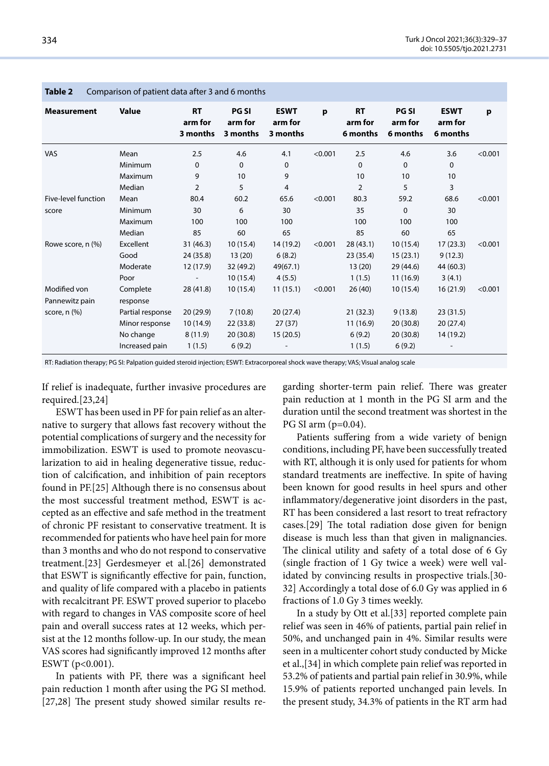| Companion or patient data anter 5 and 6 months |                      |                                  |                                     |                                    |         |                                  |                                     |                                    |         |
|------------------------------------------------|----------------------|----------------------------------|-------------------------------------|------------------------------------|---------|----------------------------------|-------------------------------------|------------------------------------|---------|
| <b>Measurement</b>                             | <b>Value</b>         | <b>RT</b><br>arm for<br>3 months | <b>PG SI</b><br>arm for<br>3 months | <b>ESWT</b><br>arm for<br>3 months | p       | <b>RT</b><br>arm for<br>6 months | <b>PG SI</b><br>arm for<br>6 months | <b>ESWT</b><br>arm for<br>6 months | p       |
| <b>VAS</b>                                     | Mean                 | 2.5                              | 4.6                                 | 4.1                                | < 0.001 | 2.5                              | 4.6                                 | 3.6                                | < 0.001 |
|                                                | Minimum              | 0                                | 0                                   | 0                                  |         | $\mathbf 0$                      | $\mathbf 0$                         | 0                                  |         |
|                                                | Maximum              | 9                                | 10                                  | 9                                  |         | 10                               | 10                                  | 10                                 |         |
|                                                | Median               | $\overline{2}$                   | 5                                   | 4                                  |         | $\overline{2}$                   | 5                                   | 3                                  |         |
| Five-level function                            | Mean                 | 80.4                             | 60.2                                | 65.6                               | < 0.001 | 80.3                             | 59.2                                | 68.6                               | < 0.001 |
| score                                          | Minimum              | 30                               | 6                                   | 30                                 |         | 35                               | $\mathbf 0$                         | 30                                 |         |
|                                                | Maximum              | 100                              | 100                                 | 100                                |         | 100                              | 100                                 | 100                                |         |
|                                                | Median               | 85                               | 60                                  | 65                                 |         | 85                               | 60                                  | 65                                 |         |
| Rowe score, n (%)                              | Excellent            | 31(46.3)                         | 10(15.4)                            | 14 (19.2)                          | < 0.001 | 28(43.1)                         | 10(15.4)                            | 17(23.3)                           | < 0.001 |
|                                                | Good                 | 24 (35.8)                        | 13(20)                              | 6(8.2)                             |         | 23 (35.4)                        | 15(23.1)                            | 9(12.3)                            |         |
|                                                | Moderate             | 12 (17.9)                        | 32 (49.2)                           | 49(67.1)                           |         | 13(20)                           | 29 (44.6)                           | 44 (60.3)                          |         |
|                                                | Poor                 | $\overline{\phantom{a}}$         | 10(15.4)                            | 4(5.5)                             |         | 1(1.5)                           | 11(16.9)                            | 3(4.1)                             |         |
| Modified von<br>Pannewitz pain                 | Complete<br>response | 28(41.8)                         | 10(15.4)                            | 11(15.1)                           | < 0.001 | 26(40)                           | 10(15.4)                            | 16(21.9)                           | < 0.001 |
| score, $n$ $(\%)$                              | Partial response     | 20(29.9)                         | 7(10.8)                             | 20(27.4)                           |         | 21(32.3)                         | 9(13.8)                             | 23(31.5)                           |         |
|                                                | Minor response       | 10(14.9)                         | 22 (33.8)                           | 27(37)                             |         | 11(16.9)                         | 20(30.8)                            | 20(27.4)                           |         |
|                                                | No change            | 8(11.9)                          | 20 (30.8)                           | 15(20.5)                           |         | 6(9.2)                           | 20(30.8)                            | 14 (19.2)                          |         |
|                                                | Increased pain       | 1(1.5)                           | 6(9.2)                              |                                    |         | 1(1.5)                           | 6(9.2)                              |                                    |         |

# **Table 2** Comparison of patient data after 3 and 6 months

RT: Radiation therapy; PG SI: Palpation guided steroid injection; ESWT: Extracorporeal shock wave therapy; VAS; Visual analog scale

If relief is inadequate, further invasive procedures are required.[23,24]

ESWT has been used in PF for pain relief as an alternative to surgery that allows fast recovery without the potential complications of surgery and the necessity for immobilization. ESWT is used to promote neovascularization to aid in healing degenerative tissue, reduction of calcification, and inhibition of pain receptors found in PF.[25] Although there is no consensus about the most successful treatment method, ESWT is accepted as an effective and safe method in the treatment of chronic PF resistant to conservative treatment. It is recommended for patients who have heel pain for more than 3 months and who do not respond to conservative treatment.[23] Gerdesmeyer et al.[26] demonstrated that ESWT is significantly effective for pain, function, and quality of life compared with a placebo in patients with recalcitrant PF. ESWT proved superior to placebo with regard to changes in VAS composite score of heel pain and overall success rates at 12 weeks, which persist at the 12 months follow-up. In our study, the mean VAS scores had significantly improved 12 months after ESWT (p<0.001).

In patients with PF, there was a significant heel pain reduction 1 month after using the PG SI method. [27,28] The present study showed similar results regarding shorter-term pain relief. There was greater pain reduction at 1 month in the PG SI arm and the duration until the second treatment was shortest in the PG SI arm (p=0.04).

Patients suffering from a wide variety of benign conditions, including PF, have been successfully treated with RT, although it is only used for patients for whom standard treatments are ineffective. In spite of having been known for good results in heel spurs and other inflammatory/degenerative joint disorders in the past, RT has been considered a last resort to treat refractory cases.[29] The total radiation dose given for benign disease is much less than that given in malignancies. The clinical utility and safety of a total dose of 6 Gy (single fraction of 1 Gy twice a week) were well validated by convincing results in prospective trials.[30- 32] Accordingly a total dose of 6.0 Gy was applied in 6 fractions of 1.0 Gy 3 times weekly.

In a study by Ott et al.[33] reported complete pain relief was seen in 46% of patients, partial pain relief in 50%, and unchanged pain in 4%. Similar results were seen in a multicenter cohort study conducted by Micke et al.,[34] in which complete pain relief was reported in 53.2% of patients and partial pain relief in 30.9%, while 15.9% of patients reported unchanged pain levels. In the present study, 34.3% of patients in the RT arm had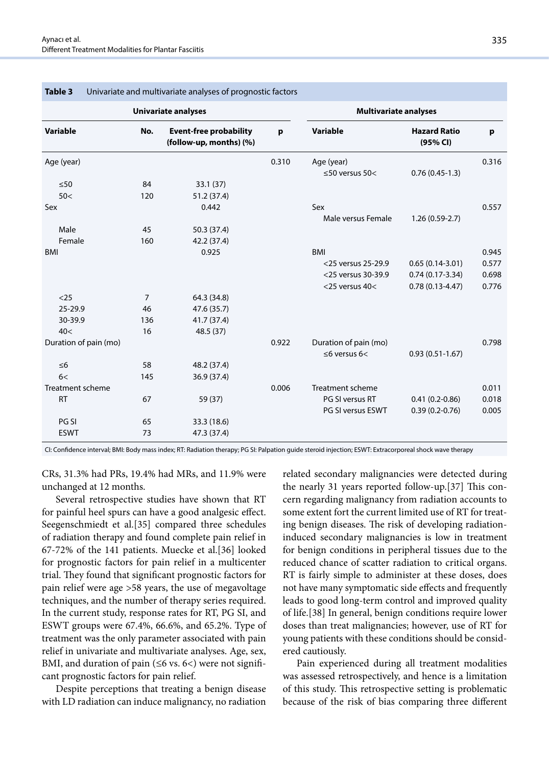|                       | <b>Univariate analyses</b> |                                                          |       | <b>Multivariate analyses</b> |                                 |       |  |
|-----------------------|----------------------------|----------------------------------------------------------|-------|------------------------------|---------------------------------|-------|--|
| <b>Variable</b>       | No.                        | <b>Event-free probability</b><br>(follow-up, months) (%) |       | Variable                     | <b>Hazard Ratio</b><br>(95% CI) | p     |  |
| Age (year)            |                            |                                                          | 0.310 | Age (year)                   |                                 | 0.316 |  |
|                       |                            |                                                          |       | $\leq$ 50 versus 50<         | $0.76(0.45-1.3)$                |       |  |
| $\leq 50$             | 84                         | 33.1(37)                                                 |       |                              |                                 |       |  |
| 50<                   | 120                        | 51.2 (37.4)                                              |       |                              |                                 |       |  |
| Sex                   |                            | 0.442                                                    |       | Sex                          |                                 | 0.557 |  |
|                       |                            |                                                          |       | Male versus Female           | $1.26(0.59-2.7)$                |       |  |
| Male                  | 45                         | 50.3 (37.4)                                              |       |                              |                                 |       |  |
| Female                | 160                        | 42.2 (37.4)                                              |       |                              |                                 |       |  |
| <b>BMI</b>            |                            | 0.925                                                    |       | <b>BMI</b>                   |                                 | 0.945 |  |
|                       |                            |                                                          |       | <25 versus 25-29.9           | $0.65(0.14-3.01)$               | 0.577 |  |
|                       |                            |                                                          |       | <25 versus 30-39.9           | $0.74(0.17-3.34)$               | 0.698 |  |
|                       |                            |                                                          |       | $<$ 25 versus 40 $<$         | $0.78(0.13 - 4.47)$             | 0.776 |  |
| $25$                  | 7                          | 64.3 (34.8)                                              |       |                              |                                 |       |  |
| 25-29.9               | 46                         | 47.6 (35.7)                                              |       |                              |                                 |       |  |
| 30-39.9               | 136                        | 41.7 (37.4)                                              |       |                              |                                 |       |  |
| 40<                   | 16                         | 48.5 (37)                                                |       |                              |                                 |       |  |
| Duration of pain (mo) |                            |                                                          | 0.922 | Duration of pain (mo)        |                                 | 0.798 |  |
|                       |                            |                                                          |       | $\leq$ 6 versus 6<           | $0.93(0.51-1.67)$               |       |  |
| $\leq 6$              | 58                         | 48.2 (37.4)                                              |       |                              |                                 |       |  |
| 6<                    | 145                        | 36.9 (37.4)                                              |       |                              |                                 |       |  |
| Treatment scheme      |                            |                                                          | 0.006 | Treatment scheme             |                                 | 0.011 |  |
| <b>RT</b>             | 67                         | 59 (37)                                                  |       | PG SI versus RT              | $0.41(0.2 - 0.86)$              | 0.018 |  |
|                       |                            |                                                          |       | PG SI versus ESWT            | $0.39(0.2-0.76)$                | 0.005 |  |
| PG SI                 | 65                         | 33.3 (18.6)                                              |       |                              |                                 |       |  |
| <b>ESWT</b>           | 73                         | 47.3 (37.4)                                              |       |                              |                                 |       |  |

#### **Table 3** Univariate and multivariate analyses of prognostic factors

CI: Confidence interval; BMI: Body mass index; RT: Radiation therapy; PG SI: Palpation guide steroid injection; ESWT: Extracorporeal shock wave therapy

CRs, 31.3% had PRs, 19.4% had MRs, and 11.9% were unchanged at 12 months.

Several retrospective studies have shown that RT for painful heel spurs can have a good analgesic effect. Seegenschmiedt et al.[35] compared three schedules of radiation therapy and found complete pain relief in 67-72% of the 141 patients. Muecke et al.[36] looked for prognostic factors for pain relief in a multicenter trial. They found that significant prognostic factors for pain relief were age >58 years, the use of megavoltage techniques, and the number of therapy series required. In the current study, response rates for RT, PG SI, and ESWT groups were 67.4%, 66.6%, and 65.2%. Type of treatment was the only parameter associated with pain relief in univariate and multivariate analyses. Age, sex, BMI, and duration of pain ( $\leq$ 6 vs. 6<) were not significant prognostic factors for pain relief.

Despite perceptions that treating a benign disease with LD radiation can induce malignancy, no radiation

related secondary malignancies were detected during the nearly 31 years reported follow-up.[37] This concern regarding malignancy from radiation accounts to some extent fort the current limited use of RT for treating benign diseases. The risk of developing radiationinduced secondary malignancies is low in treatment for benign conditions in peripheral tissues due to the reduced chance of scatter radiation to critical organs. RT is fairly simple to administer at these doses, does not have many symptomatic side effects and frequently leads to good long-term control and improved quality of life.[38] In general, benign conditions require lower doses than treat malignancies; however, use of RT for young patients with these conditions should be considered cautiously.

Pain experienced during all treatment modalities was assessed retrospectively, and hence is a limitation of this study. This retrospective setting is problematic because of the risk of bias comparing three different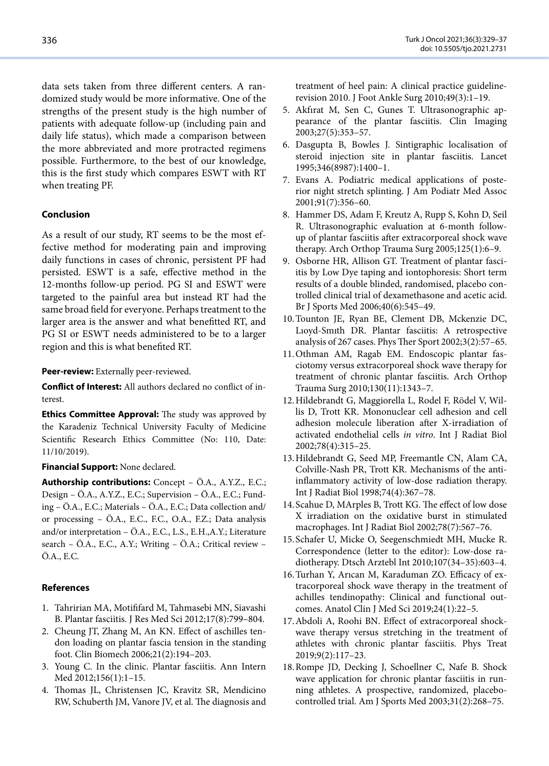data sets taken from three different centers. A randomized study would be more informative. One of the strengths of the present study is the high number of patients with adequate follow-up (including pain and daily life status), which made a comparison between the more abbreviated and more protracted regimens possible. Furthermore, to the best of our knowledge, this is the first study which compares ESWT with RT when treating PF.

# **Conclusion**

As a result of our study, RT seems to be the most effective method for moderating pain and improving daily functions in cases of chronic, persistent PF had persisted. ESWT is a safe, effective method in the 12-months follow-up period. PG SI and ESWT were targeted to the painful area but instead RT had the same broad field for everyone. Perhaps treatment to the larger area is the answer and what benefitted RT, and PG SI or ESWT needs administered to be to a larger region and this is what benefited RT.

**Peer-review:** Externally peer-reviewed.

**Conflict of Interest:** All authors declared no conflict of interest.

**Ethics Committee Approval:** The study was approved by the Karadeniz Technical University Faculty of Medicine Scientific Research Ethics Committee (No: 110, Date: 11/10/2019).

## **Financial Support:** None declared.

**Authorship contributions:** Concept – Ö.A., A.Y.Z., E.C.; Design – Ö.A., A.Y.Z., E.C.; Supervision – Ö.A., E.C.; Funding – Ö.A., E.C.; Materials – Ö.A., E.C.; Data collection and/ or processing – Ö.A., E.C., F.C., O.A., F.Z.; Data analysis and/or interpretation – Ö.A., E.C., L.S., E.H.,A.Y.; Literature search – Ö.A., E.C., A.Y.; Writing – Ö.A.; Critical review – Ö.A., E.C.

# **References**

- 1. Tahririan MA, Motififard M, Tahmasebi MN, Siavashi B. Plantar fasciitis. J Res Med Sci 2012;17(8):799–804.
- 2. Cheung JT, Zhang M, An KN. Effect of aschilles tendon loading on plantar fascia tension in the standing foot. Clin Biomech 2006;21(2):194–203.
- 3. Young C. In the clinic. Plantar fasciitis. Ann Intern Med 2012;156(1):1–15.
- 4. Thomas JL, Christensen JC, Kravitz SR, Mendicino RW, Schuberth JM, Vanore JV, et al. The diagnosis and

treatment of heel pain: A clinical practice guidelinerevision 2010. J Foot Ankle Surg 2010;49(3):1–19.

- 5. Akfırat M, Sen C, Gunes T. Ultrasonographic appearance of the plantar fasciitis. Clin Imaging 2003;27(5):353–57.
- 6. Dasgupta B, Bowles J. Sintigraphic localisation of steroid injection site in plantar fasciitis. Lancet 1995;346(8987):1400–1.
- 7. Evans A. Podiatric medical applications of posterior night stretch splinting. J Am Podiatr Med Assoc 2001;91(7):356–60.
- 8. Hammer DS, Adam F, Kreutz A, Rupp S, Kohn D, Seil R. Ultrasonographic evaluation at 6-month followup of plantar fasciitis after extracorporeal shock wave therapy. Arch Orthop Trauma Surg 2005;125(1):6–9.
- 9. Osborne HR, Allison GT. Treatment of plantar fasciitis by Low Dye taping and iontophoresis: Short term results of a double blinded, randomised, placebo controlled clinical trial of dexamethasone and acetic acid. Br J Sports Med 2006;40(6):545–49.
- 10.Tounton JE, Ryan BE, Clement DB, Mckenzie DC, Lıoyd-Smıth DR. Plantar fasciitis: A retrospective analysis of 267 cases. Phys Ther Sport 2002;3(2):57–65.
- 11.Othman AM, Ragab EM. Endoscopic plantar fasciotomy versus extracorporeal shock wave therapy for treatment of chronic plantar fasciitis. Arch Orthop Trauma Surg 2010;130(11):1343–7.
- 12.Hildebrandt G, Maggiorella L, Rodel F, Rödel V, Willis D, Trott KR. Mononuclear cell adhesion and cell adhesion molecule liberation after X-irradiation of activated endothelial cells *in vitro*. Int J Radiat Biol 2002;78(4):315–25.
- 13.Hildebrandt G, Seed MP, Freemantle CN, Alam CA, Colville-Nash PR, Trott KR. Mechanisms of the antiinflammatory activity of low-dose radiation therapy. Int J Radiat Biol 1998;74(4):367–78.
- 14.Scahue D, MArples B, Trott KG. The effect of low dose X irradiation on the oxidative burst in stimulated macrophages. Int J Radiat Biol 2002;78(7):567–76.
- 15.Schafer U, Micke O, Seegenschmiedt MH, Mucke R. Correspondence (letter to the editor): Low-dose radiotherapy. Dtsch Arztebl Int 2010;107(34–35):603–4.
- 16.Turhan Y, Arıcan M, Karaduman ZO. Efficacy of extracorporeal shock wave therapy in the treatment of achilles tendinopathy: Clinical and functional outcomes. Anatol Clin J Med Sci 2019;24(1):22–5.
- 17.Abdoli A, Roohi BN. Effect of extracorporeal shockwave therapy versus stretching in the treatment of athletes with chronic plantar fasciitis. Phys Treat 2019;9(2):117–23.
- 18.Rompe JD, Decking J, Schoellner C, Nafe B. Shock wave application for chronic plantar fasciitis in running athletes. A prospective, randomized, placebocontrolled trial. Am J Sports Med 2003;31(2):268–75.